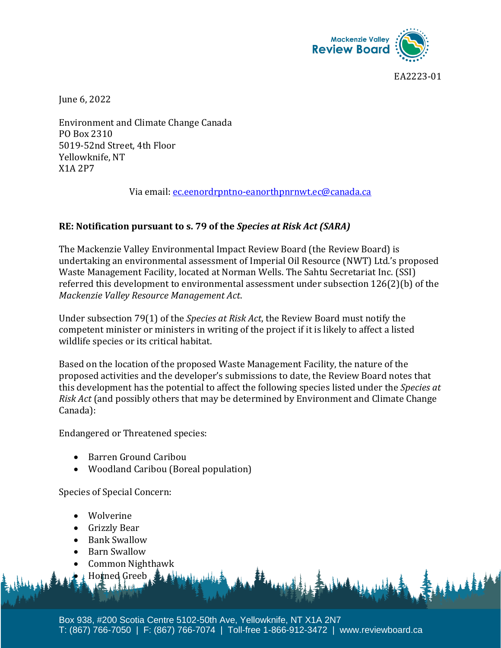

EA2223-01

June 6, 2022

Environment and Climate Change Canada PO Box 2310 5019-52nd Street, 4th Floor Yellowknife, NT X1A 2P7

Via email: ec.eenordrpntno-eanorthpnrnwt.ec@canada.ca

## **RE: Notification pursuant to s. 79 of the** *Species at Risk Act (SARA)*

The Mackenzie Valley Environmental Impact Review Board (the Review Board) is undertaking an environmental assessment of Imperial Oil Resource (NWT) Ltd.'s proposed Waste Management Facility, located at Norman Wells. The Sahtu Secretariat Inc. (SSI) referred this development to environmental assessment under subsection 126(2)(b) of the *Mackenzie Valley Resource Management Act*.

Under subsection 79(1) of the *Species at Risk Act*, the Review Board must notify the competent minister or ministers in writing of the project if it is likely to affect a listed wildlife species or its critical habitat.

Based on the location of the proposed Waste Management Facility, the nature of the proposed activities and the developer's submissions to date, the Review Board notes that this development has the potential to affect the following species listed under the *Species at Risk Act* (and possibly others that may be determined by Environment and Climate Change Canada):

Endangered or Threatened species:

- Barren Ground Caribou
- Woodland Caribou (Boreal population)

Species of Special Concern:

- Wolverine
- Grizzly Bear
- Bank Swallow
- Barn Swallow
- Common Nighthawk

↓ Horned Greeb

Box 938, #200 Scotia Centre 5102-50th Ave, Yellowknife, NT X1A 2N7 T: (867) 766-7050 | F: (867) 766-7074 | Toll-free 1-866-912-3472 | www.reviewboard.ca